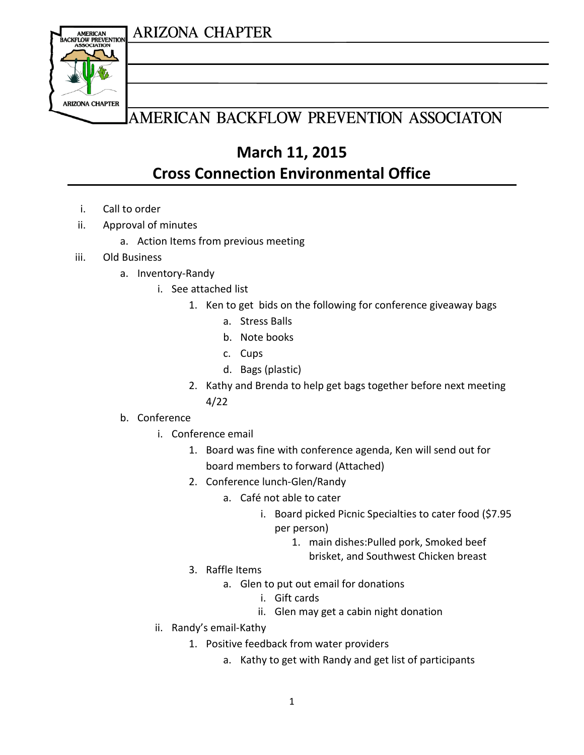### **ARIZONA CHAPTER**



## AMERICAN BACKFLOW PREVENTION ASSOCIATON

**March 11, 2015 Cross Connection Environmental Office**

- i. Call to order
- ii. Approval of minutes
	- a. Action Items from previous meeting
- iii. Old Business
	- a. Inventory-Randy
		- i. See attached list
			- 1. Ken to get bids on the following for conference giveaway bags
				- a. Stress Balls
				- b. Note books
				- c. Cups
				- d. Bags (plastic)
			- 2. Kathy and Brenda to help get bags together before next meeting 4/22

#### b. Conference

- i. Conference email
	- 1. Board was fine with conference agenda, Ken will send out for board members to forward (Attached)
	- 2. Conference lunch-Glen/Randy
		- a. Café not able to cater
			- i. Board picked Picnic Specialties to cater food (\$7.95 per person)
				- 1. main dishes:Pulled pork, Smoked beef brisket, and Southwest Chicken breast
	- 3. Raffle Items
		- a. Glen to put out email for donations
			- i. Gift cards
			- ii. Glen may get a cabin night donation
- ii. Randy's email-Kathy
	- 1. Positive feedback from water providers
		- a. Kathy to get with Randy and get list of participants